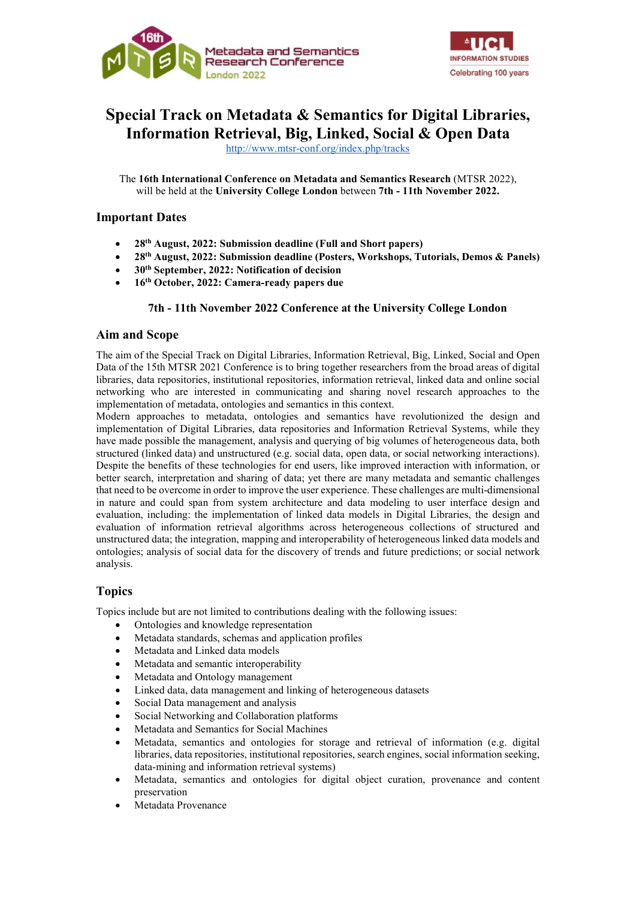



# Special Track on Metadata & Semantics for Digital Libraries, Information Retrieval, Big, Linked, Social & Open Data

http://www.mtsr-conf.org/index.php/tracks

The 16th International Conference on Metadata and Semantics Research (MTSR 2022), will be held at the University College London between 7th - 11th November 2022.

# Important Dates

- 28th August, 2022: Submission deadline (Full and Short papers)
- 28th August, 2022: Submission deadline (Posters, Workshops, Tutorials, Demos & Panels)
- $\bullet$  30<sup>th</sup> September, 2022: Notification of decision
- 16th October, 2022: Camera-ready papers due

## 7th - 11th November 2022 Conference at the University College London

## Aim and Scope

The aim of the Special Track on Digital Libraries, Information Retrieval, Big, Linked, Social and Open Data of the 15th MTSR 2021 Conference is to bring together researchers from the broad areas of digital libraries, data repositories, institutional repositories, information retrieval, linked data and online social networking who are interested in communicating and sharing novel research approaches to the implementation of metadata, ontologies and semantics in this context.

Modern approaches to metadata, ontologies and semantics have revolutionized the design and implementation of Digital Libraries, data repositories and Information Retrieval Systems, while they have made possible the management, analysis and querying of big volumes of heterogeneous data, both structured (linked data) and unstructured (e.g. social data, open data, or social networking interactions). Despite the benefits of these technologies for end users, like improved interaction with information, or better search, interpretation and sharing of data; yet there are many metadata and semantic challenges that need to be overcome in order to improve the user experience. These challenges are multi-dimensional in nature and could span from system architecture and data modeling to user interface design and evaluation, including: the implementation of linked data models in Digital Libraries, the design and evaluation of information retrieval algorithms across heterogeneous collections of structured and unstructured data; the integration, mapping and interoperability of heterogeneous linked data models and ontologies; analysis of social data for the discovery of trends and future predictions; or social network analysis.

# Topics

Topics include but are not limited to contributions dealing with the following issues:

- Ontologies and knowledge representation
- Metadata standards, schemas and application profiles
- Metadata and Linked data models
- Metadata and semantic interoperability
- Metadata and Ontology management
- Linked data, data management and linking of heterogeneous datasets
- Social Data management and analysis
- Social Networking and Collaboration platforms
- Metadata and Semantics for Social Machines
- Metadata, semantics and ontologies for storage and retrieval of information (e.g. digital libraries, data repositories, institutional repositories, search engines, social information seeking, data-mining and information retrieval systems)
- Metadata, semantics and ontologies for digital object curation, provenance and content preservation
- Metadata Provenance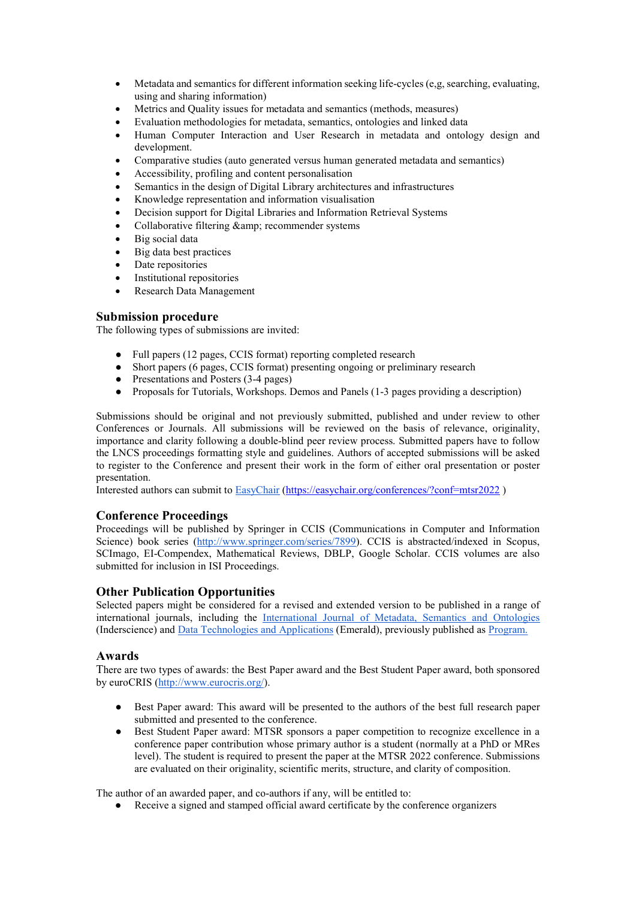- Metadata and semantics for different information seeking life-cycles (e,g, searching, evaluating, using and sharing information)
- Metrics and Quality issues for metadata and semantics (methods, measures)
- Evaluation methodologies for metadata, semantics, ontologies and linked data
- Human Computer Interaction and User Research in metadata and ontology design and development.
- Comparative studies (auto generated versus human generated metadata and semantics)
- Accessibility, profiling and content personalisation
- Semantics in the design of Digital Library architectures and infrastructures
- Knowledge representation and information visualisation
- Decision support for Digital Libraries and Information Retrieval Systems
- Collaborative filtering & amp; recommender systems
- Big social data
- Big data best practices
- Date repositories
- Institutional repositories
- Research Data Management

## Submission procedure

The following types of submissions are invited:

- Full papers (12 pages, CCIS format) reporting completed research
- Short papers (6 pages, CCIS format) presenting ongoing or preliminary research
- Presentations and Posters (3-4 pages)
- Proposals for Tutorials, Workshops. Demos and Panels (1-3 pages providing a description)

Submissions should be original and not previously submitted, published and under review to other Conferences or Journals. All submissions will be reviewed on the basis of relevance, originality, importance and clarity following a double-blind peer review process. Submitted papers have to follow the LNCS proceedings formatting style and guidelines. Authors of accepted submissions will be asked to register to the Conference and present their work in the form of either oral presentation or poster presentation.

Interested authors can submit to EasyChair (https://easychair.org/conferences/?conf=mtsr2022 )

# Conference Proceedings

Proceedings will be published by Springer in CCIS (Communications in Computer and Information Science) book series (http://www.springer.com/series/7899). CCIS is abstracted/indexed in Scopus, SCImago, EI-Compendex, Mathematical Reviews, DBLP, Google Scholar. CCIS volumes are also submitted for inclusion in ISI Proceedings.

## Other Publication Opportunities

Selected papers might be considered for a revised and extended version to be published in a range of international journals, including the International Journal of Metadata, Semantics and Ontologies (Inderscience) and Data Technologies and Applications (Emerald), previously published as Program.

## Awards

There are two types of awards: the Best Paper award and the Best Student Paper award, both sponsored by euroCRIS (http://www.eurocris.org/).

- Best Paper award: This award will be presented to the authors of the best full research paper submitted and presented to the conference.
- Best Student Paper award: MTSR sponsors a paper competition to recognize excellence in a conference paper contribution whose primary author is a student (normally at a PhD or MRes level). The student is required to present the paper at the MTSR 2022 conference. Submissions are evaluated on their originality, scientific merits, structure, and clarity of composition.

The author of an awarded paper, and co-authors if any, will be entitled to:

● Receive a signed and stamped official award certificate by the conference organizers